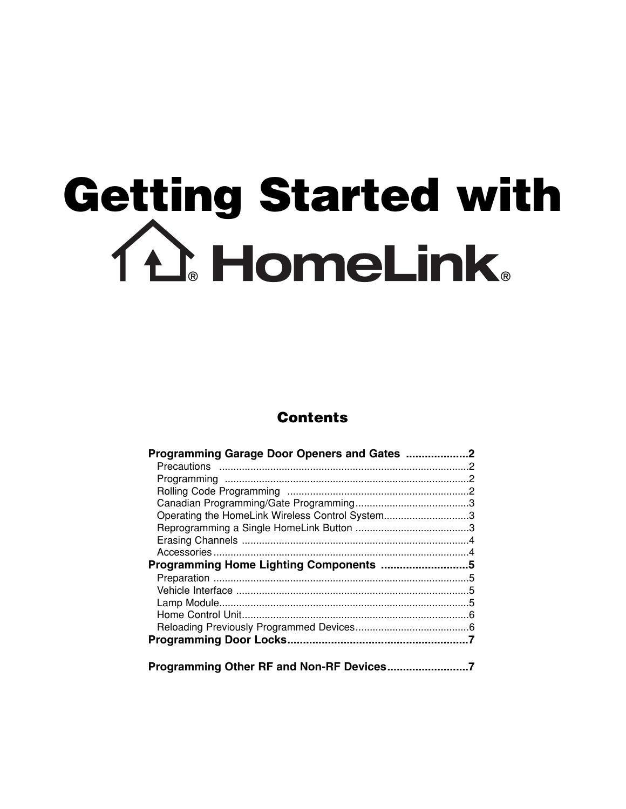# Getting Started with<br>
11 HomeLink

# **Contents**

| Programming Garage Door Openers and Gates 2     |  |
|-------------------------------------------------|--|
|                                                 |  |
|                                                 |  |
|                                                 |  |
|                                                 |  |
| Operating the HomeLink Wireless Control System3 |  |
|                                                 |  |
|                                                 |  |
|                                                 |  |
|                                                 |  |
|                                                 |  |
|                                                 |  |
|                                                 |  |
|                                                 |  |
|                                                 |  |
|                                                 |  |
|                                                 |  |
|                                                 |  |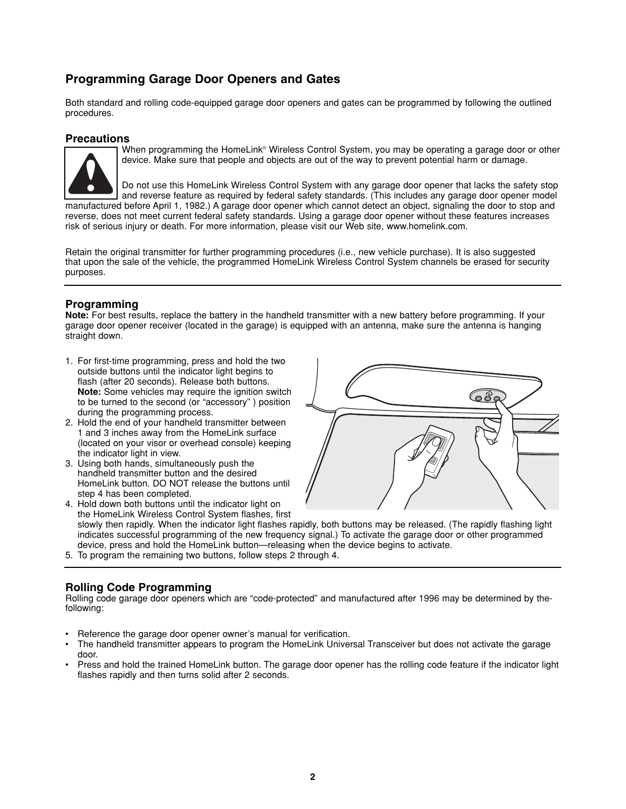# **Programming Garage Door Openers and Gates**

Both standard and rolling code-equipped garage door openers and gates can be programmed by following the outlined procedures.

## **Precautions**



When programming the HomeLink® Wireless Control System, you may be operating a garage door or other device. Make sure that people and objects are out of the way to prevent potential harm or damage.

Do not use this HomeLink Wireless Control System with any garage door opener that lacks the safety stop and reverse feature as required by federal safety standards. (This includes any garage door opener model manufactured before April 1, 1982.) A garage door opener which cannot detect an object, signaling the door to stop and reverse, does not meet current federal safety standards. Using a garage door opener without these features increases risk of serious injury or death. For more information, please visit our Web site, www.homelink.com.

Retain the original transmitter for further programming procedures (i.e., new vehicle purchase). It is also suggested that upon the sale of the vehicle, the programmed HomeLink Wireless Control System channels be erased for security purposes.

# **Programming**

**Note:** For best results, replace the battery in the handheld transmitter with a new battery before programming. If your garage door opener receiver (located in the garage) is equipped with an antenna, make sure the antenna is hanging straight down.

- 1. For first-time programming, press and hold the two outside buttons until the indicator light begins to flash (after 20 seconds). Release both buttons. **Note:** Some vehicles may require the ignition switch to be turned to the second (or "accessory" ) position during the programming process.
- 2. Hold the end of your handheld transmitter between 1 and 3 inches away from the HomeLink surface (located on your visor or overhead console) keeping the indicator light in view.
- 3. Using both hands, simultaneously push the handheld transmitter button and the desired HomeLink button. DO NOT release the buttons until step 4 has been completed.



4. Hold down both buttons until the indicator light on the HomeLink Wireless Control System flashes, first slowly then rapidly. When the indicator light flashes rapidly, both buttons may be released. (The rapidly flashing light indicates successful programming of the new frequency signal.) To activate the garage door or other programmed device, press and hold the HomeLink button—releasing when the device begins to activate.

5. To program the remaining two buttons, follow steps 2 through 4.

# **Rolling Code Programming**

Rolling code garage door openers which are "code-protected" and manufactured after 1996 may be determined by thefollowing:

- Reference the garage door opener owner's manual for verification.
- The handheld transmitter appears to program the HomeLink Universal Transceiver but does not activate the garage door.
- Press and hold the trained HomeLink button. The garage door opener has the rolling code feature if the indicator light flashes rapidly and then turns solid after 2 seconds.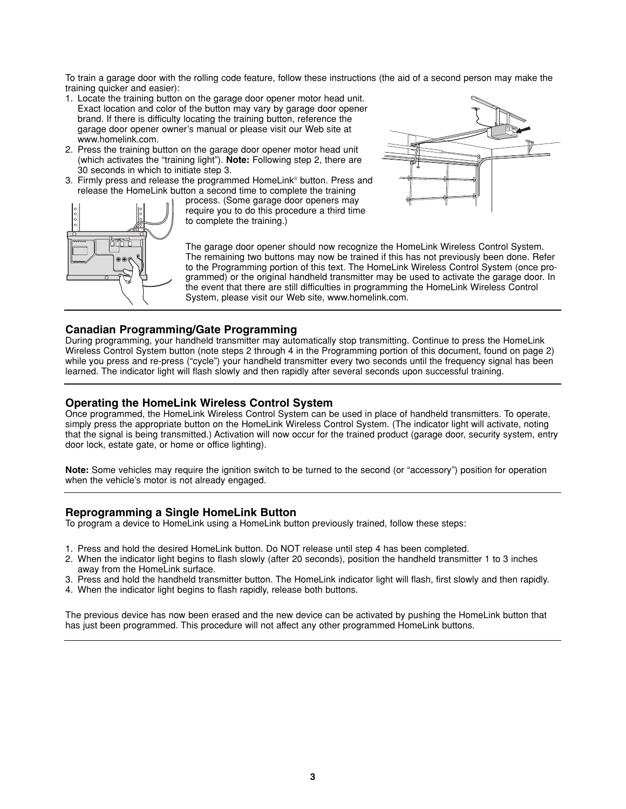To train a garage door with the rolling code feature, follow these instructions (the aid of a second person may make the training quicker and easier):

- 1. Locate the training button on the garage door opener motor head unit. Exact location and color of the button may vary by garage door opener brand. If there is difficulty locating the training button, reference the garage door opener owner's manual or please visit our Web site at www.homelink.com.
- 2. Press the training button on the garage door opener motor head unit (which activates the "training light"). **Note:** Following step 2, there are 30 seconds in which to initiate step 3.
- 3. Firmly press and release the programmed HomeLink® button. Press and release the HomeLink button a second time to complete the training





process. (Some garage door openers may require you to do this procedure a third time to complete the training.)

The garage door opener should now recognize the HomeLink Wireless Control System. The remaining two buttons may now be trained if this has not previously been done. Refer to the Programming portion of this text. The HomeLink Wireless Control System (once programmed) or the original handheld transmitter may be used to activate the garage door. In the event that there are still difficulties in programming the HomeLink Wireless Control System, please visit our Web site, www.homelink.com.

# **Canadian Programming/Gate Programming**

During programming, your handheld transmitter may automatically stop transmitting. Continue to press the HomeLink Wireless Control System button (note steps 2 through 4 in the Programming portion of this document, found on page 2) while you press and re-press ("cycle") your handheld transmitter every two seconds until the frequency signal has been learned. The indicator light will flash slowly and then rapidly after several seconds upon successful training.

#### **Operating the HomeLink Wireless Control System**

Once programmed, the HomeLink Wireless Control System can be used in place of handheld transmitters. To operate, simply press the appropriate button on the HomeLink Wireless Control System. (The indicator light will activate, noting that the signal is being transmitted.) Activation will now occur for the trained product (garage door, security system, entry door lock, estate gate, or home or office lighting).

**Note:** Some vehicles may require the ignition switch to be turned to the second (or "accessory") position for operation when the vehicle's motor is not already engaged.

#### **Reprogramming a Single HomeLink Button**

To program a device to HomeLink using a HomeLink button previously trained, follow these steps:

- 1. Press and hold the desired HomeLink button. Do NOT release until step 4 has been completed.
- 2. When the indicator light begins to flash slowly (after 20 seconds), position the handheld transmitter 1 to 3 inches away from the HomeLink surface.
- 3. Press and hold the handheld transmitter button. The HomeLink indicator light will flash, first slowly and then rapidly.
- 4. When the indicator light begins to flash rapidly, release both buttons.

The previous device has now been erased and the new device can be activated by pushing the HomeLink button that has just been programmed. This procedure will not affect any other programmed HomeLink buttons.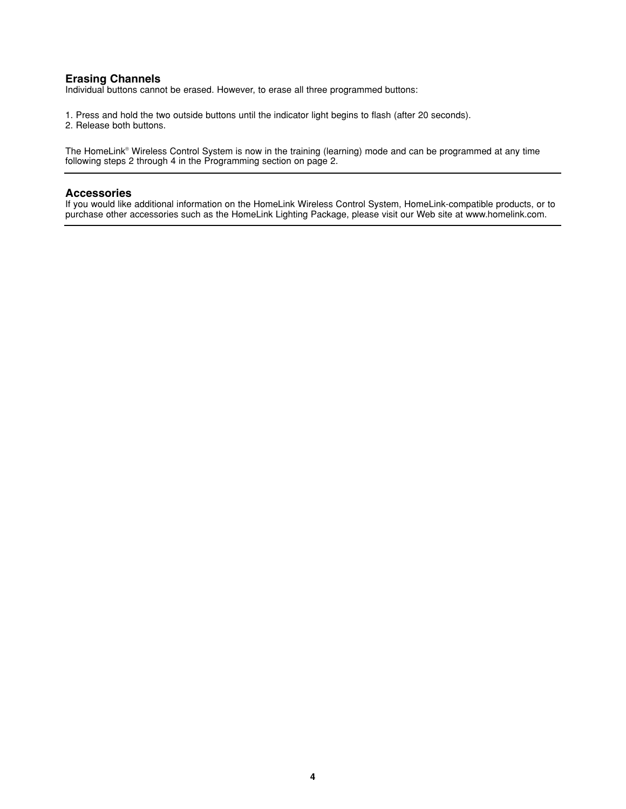# **Erasing Channels**

Individual buttons cannot be erased. However, to erase all three programmed buttons:

1. Press and hold the two outside buttons until the indicator light begins to flash (after 20 seconds).

2. Release both buttons.

The HomeLink® Wireless Control System is now in the training (learning) mode and can be programmed at any time following steps 2 through 4 in the Programming section on page 2.

#### **Accessories**

If you would like additional information on the HomeLink Wireless Control System, HomeLink-compatible products, or to purchase other accessories such as the HomeLink Lighting Package, please visit our Web site at www.homelink.com.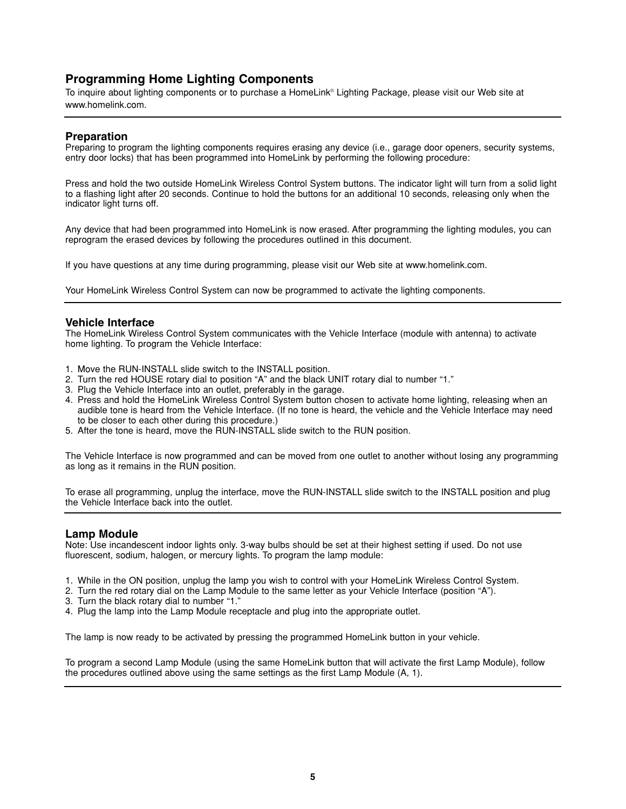# **Programming Home Lighting Components**

To inquire about lighting components or to purchase a HomeLink® Lighting Package, please visit our Web site at www.homelink.com.

## **Preparation**

Preparing to program the lighting components requires erasing any device (i.e., garage door openers, security systems, entry door locks) that has been programmed into HomeLink by performing the following procedure:

Press and hold the two outside HomeLink Wireless Control System buttons. The indicator light will turn from a solid light to a flashing light after 20 seconds. Continue to hold the buttons for an additional 10 seconds, releasing only when the indicator light turns off.

Any device that had been programmed into HomeLink is now erased. After programming the lighting modules, you can reprogram the erased devices by following the procedures outlined in this document.

If you have questions at any time during programming, please visit our Web site at www.homelink.com.

Your HomeLink Wireless Control System can now be programmed to activate the lighting components.

#### **Vehicle Interface**

The HomeLink Wireless Control System communicates with the Vehicle Interface (module with antenna) to activate home lighting. To program the Vehicle Interface:

- 1. Move the RUN-INSTALL slide switch to the INSTALL position.
- 2. Turn the red HOUSE rotary dial to position "A" and the black UNIT rotary dial to number "1."
- 3. Plug the Vehicle Interface into an outlet, preferably in the garage.
- 4. Press and hold the HomeLink Wireless Control System button chosen to activate home lighting, releasing when an audible tone is heard from the Vehicle Interface. (If no tone is heard, the vehicle and the Vehicle Interface may need to be closer to each other during this procedure.)
- 5. After the tone is heard, move the RUN-INSTALL slide switch to the RUN position.

The Vehicle Interface is now programmed and can be moved from one outlet to another without losing any programming as long as it remains in the RUN position.

To erase all programming, unplug the interface, move the RUN-INSTALL slide switch to the INSTALL position and plug the Vehicle Interface back into the outlet.

#### **Lamp Module**

Note: Use incandescent indoor lights only. 3-way bulbs should be set at their highest setting if used. Do not use fluorescent, sodium, halogen, or mercury lights. To program the lamp module:

- 1. While in the ON position, unplug the lamp you wish to control with your HomeLink Wireless Control System.
- 2. Turn the red rotary dial on the Lamp Module to the same letter as your Vehicle Interface (position "A").
- 3. Turn the black rotary dial to number "1."
- 4. Plug the lamp into the Lamp Module receptacle and plug into the appropriate outlet.

The lamp is now ready to be activated by pressing the programmed HomeLink button in your vehicle.

To program a second Lamp Module (using the same HomeLink button that will activate the first Lamp Module), follow the procedures outlined above using the same settings as the first Lamp Module (A, 1).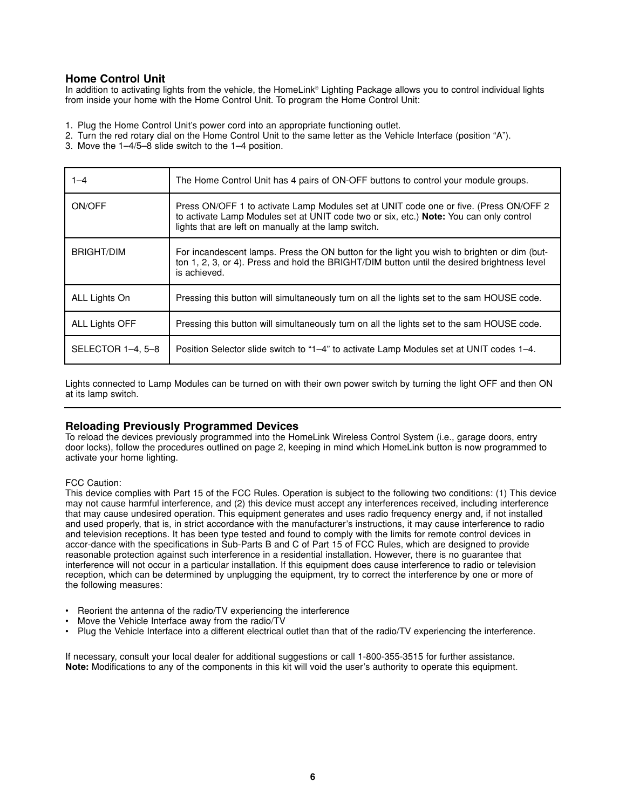# **Home Control Unit**

In addition to activating lights from the vehicle, the HomeLink® Lighting Package allows you to control individual lights from inside your home with the Home Control Unit. To program the Home Control Unit:

1. Plug the Home Control Unit's power cord into an appropriate functioning outlet.

2. Turn the red rotary dial on the Home Control Unit to the same letter as the Vehicle Interface (position "A").

3. Move the 1–4/5–8 slide switch to the 1–4 position.

| $1 - 4$           | The Home Control Unit has 4 pairs of ON-OFF buttons to control your module groups.                                                                                                                                                       |
|-------------------|------------------------------------------------------------------------------------------------------------------------------------------------------------------------------------------------------------------------------------------|
| ON/OFF            | Press ON/OFF 1 to activate Lamp Modules set at UNIT code one or five. (Press ON/OFF 2)<br>to activate Lamp Modules set at UNIT code two or six, etc.) Note: You can only control<br>lights that are left on manually at the lamp switch. |
| <b>BRIGHT/DIM</b> | For incandescent lamps. Press the ON button for the light you wish to brighten or dim (but-<br>ton 1, 2, 3, or 4). Press and hold the BRIGHT/DIM button until the desired brightness level<br>is achieved.                               |
| ALL Lights On     | Pressing this button will simultaneously turn on all the lights set to the sam HOUSE code.                                                                                                                                               |
| ALL Lights OFF    | Pressing this button will simultaneously turn on all the lights set to the sam HOUSE code.                                                                                                                                               |
| SELECTOR 1-4, 5-8 | Position Selector slide switch to "1–4" to activate Lamp Modules set at UNIT codes 1–4.                                                                                                                                                  |

Lights connected to Lamp Modules can be turned on with their own power switch by turning the light OFF and then ON at its lamp switch.

#### **Reloading Previously Programmed Devices**

To reload the devices previously programmed into the HomeLink Wireless Control System (i.e., garage doors, entry door locks), follow the procedures outlined on page 2, keeping in mind which HomeLink button is now programmed to activate your home lighting.

#### FCC Caution:

This device complies with Part 15 of the FCC Rules. Operation is subject to the following two conditions: (1) This device may not cause harmful interference, and (2) this device must accept any interferences received, including interference that may cause undesired operation. This equipment generates and uses radio frequency energy and, if not installed and used properly, that is, in strict accordance with the manufacturer's instructions, it may cause interference to radio and television receptions. It has been type tested and found to comply with the limits for remote control devices in accor-dance with the specifications in Sub-Parts B and C of Part 15 of FCC Rules, which are designed to provide reasonable protection against such interference in a residential installation. However, there is no guarantee that interference will not occur in a particular installation. If this equipment does cause interference to radio or television reception, which can be determined by unplugging the equipment, try to correct the interference by one or more of the following measures:

- Reorient the antenna of the radio/TV experiencing the interference
- Move the Vehicle Interface away from the radio/TV
- Plug the Vehicle Interface into a different electrical outlet than that of the radio/TV experiencing the interference.

If necessary, consult your local dealer for additional suggestions or call 1-800-355-3515 for further assistance. **Note:** Modifications to any of the components in this kit will void the user's authority to operate this equipment.